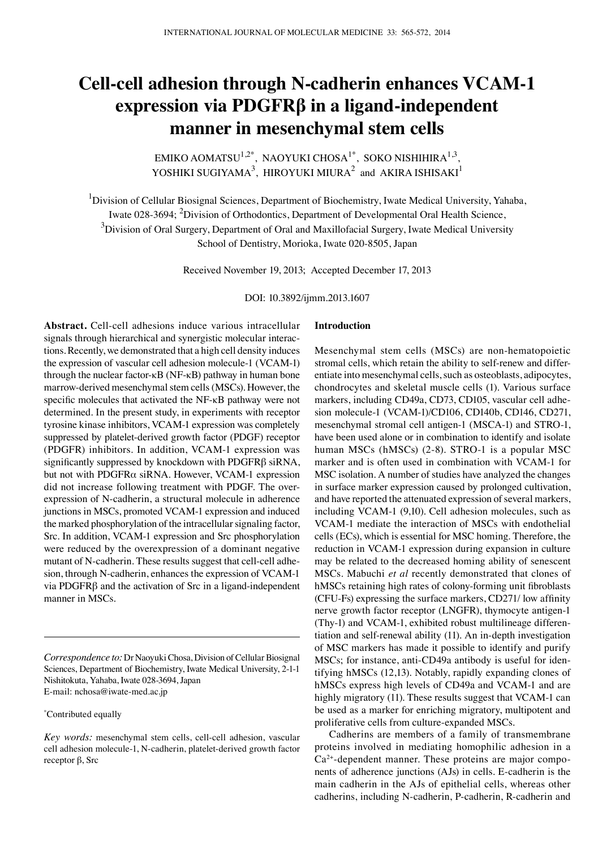# **Cell-cell adhesion through N-cadherin enhances VCAM-1 expression via PDGFRβ in a ligand-independent manner in mesenchymal stem cells**

EMIKO AOMATSU<sup>1,2\*</sup>, NAOYUKI CHOSA<sup>1\*</sup>, SOKO NISHIHIRA<sup>1,3</sup>, YOSHIKI SUGIYAMA<sup>3</sup>, HIROYUKI MIURA<sup>2</sup> and AKIRA ISHISAKI<sup>1</sup>

<sup>1</sup>Division of Cellular Biosignal Sciences, Department of Biochemistry, Iwate Medical University, Yahaba, Iwate 028-3694; <sup>2</sup>Division of Orthodontics, Department of Developmental Oral Health Science,  $^3$ Division of Oral Surgery, Department of Oral and Maxillofacial Surgery, Iwate Medical University School of Dentistry, Morioka, Iwate 020-8505, Japan

Received November 19, 2013; Accepted December 17, 2013

DOI: 10.3892/ijmm.2013.1607

**Abstract.** Cell-cell adhesions induce various intracellular signals through hierarchical and synergistic molecular interactions. Recently, we demonstrated that a high cell density induces the expression of vascular cell adhesion molecule-1 (VCAM-1) through the nuclear factor-κB (NF-κB) pathway in human bone marrow-derived mesenchymal stem cells (MSCs). However, the specific molecules that activated the NF-κB pathway were not determined. In the present study, in experiments with receptor tyrosine kinase inhibitors, VCAM-1 expression was completely suppressed by platelet-derived growth factor (PDGF) receptor (PDGFR) inhibitors. In addition, VCAM-1 expression was significantly suppressed by knockdown with PDGFRβ siRNA, but not with PDGFRα siRNA. However, VCAM-1 expression did not increase following treatment with PDGF. The overexpression of N-cadherin, a structural molecule in adherence junctions in MSCs, promoted VCAM-1 expression and induced the marked phosphorylation of the intracellular signaling factor, Src. In addition, VCAM-1 expression and Src phosphorylation were reduced by the overexpression of a dominant negative mutant of N-cadherin. These results suggest that cell-cell adhesion, through N-cadherin, enhances the expression of VCAM-1 via PDGFRβ and the activation of Src in a ligand-independent manner in MSCs.

\* Contributed equally

# **Introduction**

Mesenchymal stem cells (MSCs) are non-hematopoietic stromal cells, which retain the ability to self-renew and differentiate into mesenchymal cells, such as osteoblasts, adipocytes, chondrocytes and skeletal muscle cells (1). Various surface markers, including CD49a, CD73, CD105, vascular cell adhesion molecule-1 (VCAM-1)/CD106, CD140b, CD146, CD271, mesenchymal stromal cell antigen-1 (MSCA-1) and STRO-1, have been used alone or in combination to identify and isolate human MSCs (hMSCs) (2-8). STRO-1 is a popular MSC marker and is often used in combination with VCAM-1 for MSC isolation. A number of studies have analyzed the changes in surface marker expression caused by prolonged cultivation, and have reported the attenuated expression of several markers, including VCAM-1 (9,10). Cell adhesion molecules, such as VCAM-1 mediate the interaction of MSCs with endothelial cells (ECs), which is essential for MSC homing. Therefore, the reduction in VCAM-1 expression during expansion in culture may be related to the decreased homing ability of senescent MSCs. Mabuchi *et al* recently demonstrated that clones of hMSCs retaining high rates of colony-forming unit fibroblasts (CFU-Fs) expressing the surface markers, CD271/ low affinity nerve growth factor receptor (LNGFR), thymocyte antigen-1 (Thy-1) and VCAM-1, exhibited robust multilineage differentiation and self-renewal ability (11). An in-depth investigation of MSC markers has made it possible to identify and purify MSCs; for instance, anti-CD49a antibody is useful for identifying hMSCs (12,13). Notably, rapidly expanding clones of hMSCs express high levels of CD49a and VCAM-1 and are highly migratory (11). These results suggest that VCAM-1 can be used as a marker for enriching migratory, multipotent and proliferative cells from culture-expanded MSCs.

Cadherins are members of a family of transmembrane proteins involved in mediating homophilic adhesion in a Ca2+-dependent manner. These proteins are major components of adherence junctions (AJs) in cells. E-cadherin is the main cadherin in the AJs of epithelial cells, whereas other cadherins, including N-cadherin, P-cadherin, R-cadherin and

*Correspondence to:* Dr Naoyuki Chosa, Division of Cellular Biosignal Sciences, Department of Biochemistry, Iwate Medical University, 2-1-1 Nishitokuta, Yahaba, Iwate 028-3694, Japan E-mail: nchosa@iwate-med.ac.jp

*Key words:* mesenchymal stem cells, cell-cell adhesion, vascular cell adhesion molecule-1, N-cadherin, platelet-derived growth factor receptor β, Src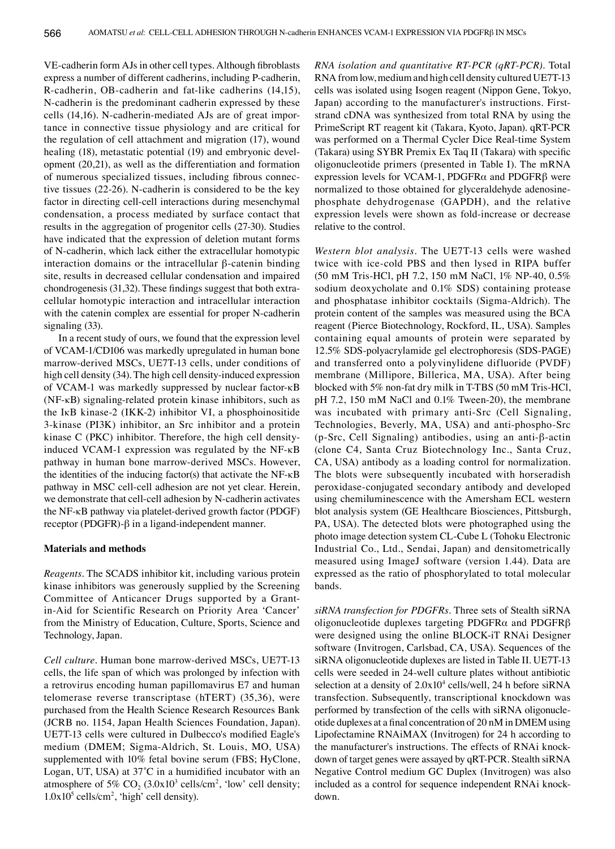VE-cadherin form AJs in other cell types. Although fibroblasts express a number of different cadherins, including P-cadherin, R-cadherin, OB-cadherin and fat-like cadherins (14,15), N-cadherin is the predominant cadherin expressed by these cells (14,16). N-cadherin-mediated AJs are of great importance in connective tissue physiology and are critical for the regulation of cell attachment and migration (17), wound healing (18), metastatic potential (19) and embryonic development (20,21), as well as the differentiation and formation of numerous specialized tissues, including fibrous connective tissues (22-26). N-cadherin is considered to be the key factor in directing cell-cell interactions during mesenchymal condensation, a process mediated by surface contact that results in the aggregation of progenitor cells (27-30). Studies have indicated that the expression of deletion mutant forms of N-cadherin, which lack either the extracellular homotypic interaction domains or the intracellular β-catenin binding site, results in decreased cellular condensation and impaired chondrogenesis (31,32). These findings suggest that both extracellular homotypic interaction and intracellular interaction with the catenin complex are essential for proper N-cadherin signaling (33).

In a recent study of ours, we found that the expression level of VCAM-1/CD106 was markedly upregulated in human bone marrow-derived MSCs, UE7T-13 cells, under conditions of high cell density (34). The high cell density-induced expression of VCAM-1 was markedly suppressed by nuclear factor-κB (NF-κB) signaling-related protein kinase inhibitors, such as the IκB kinase-2 (IKK-2) inhibitor VI, a phosphoinositide 3-kinase (PI3K) inhibitor, an Src inhibitor and a protein kinase C (PKC) inhibitor. Therefore, the high cell densityinduced VCAM-1 expression was regulated by the NF-κB pathway in human bone marrow-derived MSCs. However, the identities of the inducing factor(s) that activate the NF-κB pathway in MSC cell-cell adhesion are not yet clear. Herein, we demonstrate that cell-cell adhesion by N-cadherin activates the NF-κB pathway via platelet-derived growth factor (PDGF) receptor (PDGFR)-β in a ligand-independent manner.

#### **Materials and methods**

*Reagents.* The SCADS inhibitor kit, including various protein kinase inhibitors was generously supplied by the Screening Committee of Anticancer Drugs supported by a Grantin-Aid for Scientific Research on Priority Area 'Cancer' from the Ministry of Education, Culture, Sports, Science and Technology, Japan.

*Cell culture.* Human bone marrow-derived MSCs, UE7T-13 cells, the life span of which was prolonged by infection with a retrovirus encoding human papillomavirus E7 and human telomerase reverse transcriptase (hTERT) (35,36), were purchased from the Health Science Research Resources Bank (JCRB no. 1154, Japan Health Sciences Foundation, Japan). UE7T-13 cells were cultured in Dulbecco's modified Eagle's medium (DMEM; Sigma-Aldrich, St. Louis, MO, USA) supplemented with 10% fetal bovine serum (FBS; HyClone, Logan, UT, USA) at 37˚C in a humidified incubator with an atmosphere of 5%  $CO_2$  (3.0x10<sup>3</sup> cells/cm<sup>2</sup>, 'low' cell density;  $1.0x10<sup>5</sup>$  cells/cm<sup>2</sup>, 'high' cell density).

*RNA isolation and quantitative RT-PCR (qRT-PCR).* Total RNA from low, medium and high cell density cultured UE7T-13 cells was isolated using Isogen reagent (Nippon Gene, Tokyo, Japan) according to the manufacturer's instructions. Firststrand cDNA was synthesized from total RNA by using the PrimeScript RT reagent kit (Takara, Kyoto, Japan). qRT-PCR was performed on a Thermal Cycler Dice Real-time System (Takara) using SYBR Premix Ex Taq II (Takara) with specific oligonucleotide primers (presented in Table I). The mRNA expression levels for VCAM-1, PDGFR $\alpha$  and PDGFR $\beta$  were normalized to those obtained for glyceraldehyde adenosinephosphate dehydrogenase (GAPDH), and the relative expression levels were shown as fold-increase or decrease relative to the control.

*Western blot analysis.* The UE7T-13 cells were washed twice with ice-cold PBS and then lysed in RIPA buffer (50 mM Tris-HCl, pH 7.2, 150 mM NaCl, 1% NP-40, 0.5% sodium deoxycholate and 0.1% SDS) containing protease and phosphatase inhibitor cocktails (Sigma-Aldrich). The protein content of the samples was measured using the BCA reagent (Pierce Biotechnology, Rockford, IL, USA). Samples containing equal amounts of protein were separated by 12.5% SDS-polyacrylamide gel electrophoresis (SDS-PAGE) and transferred onto a polyvinylidene difluoride (PVDF) membrane (Millipore, Billerica, MA, USA). After being blocked with 5% non-fat dry milk in T-TBS (50 mM Tris-HCl, pH 7.2, 150 mM NaCl and 0.1% Tween-20), the membrane was incubated with primary anti-Src (Cell Signaling, Technologies, Beverly, MA, USA) and anti-phospho-Src (p-Src, Cell Signaling) antibodies, using an anti-β-actin (clone C4, Santa Cruz Biotechnology Inc., Santa Cruz, CA, USA) antibody as a loading control for normalization. The blots were subsequently incubated with horseradish peroxidase-conjugated secondary antibody and developed using chemiluminescence with the Amersham ECL western blot analysis system (GE Healthcare Biosciences, Pittsburgh, PA, USA). The detected blots were photographed using the photo image detection system CL-Cube L (Tohoku Electronic Industrial Co., Ltd., Sendai, Japan) and densitometrically measured using ImageJ software (version 1.44). Data are expressed as the ratio of phosphorylated to total molecular bands.

*siRNA transfection for PDGFRs.* Three sets of Stealth siRNA oligonucleotide duplexes targeting PDGFRα and PDGFRβ were designed using the online BLOCK-iT RNAi Designer software (Invitrogen, Carlsbad, CA, USA). Sequences of the siRNA oligonucleotide duplexes are listed in Table II. UE7T-13 cells were seeded in 24-well culture plates without antibiotic selection at a density of  $2.0x10^4$  cells/well, 24 h before siRNA transfection. Subsequently, transcriptional knockdown was performed by transfection of the cells with siRNA oligonucleotide duplexes at a final concentration of 20 nM in DMEM using Lipofectamine RNAiMAX (Invitrogen) for 24 h according to the manufacturer's instructions. The effects of RNAi knockdown of target genes were assayed by qRT-PCR. Stealth siRNA Negative Control medium GC Duplex (Invitrogen) was also included as a control for sequence independent RNAi knockdown.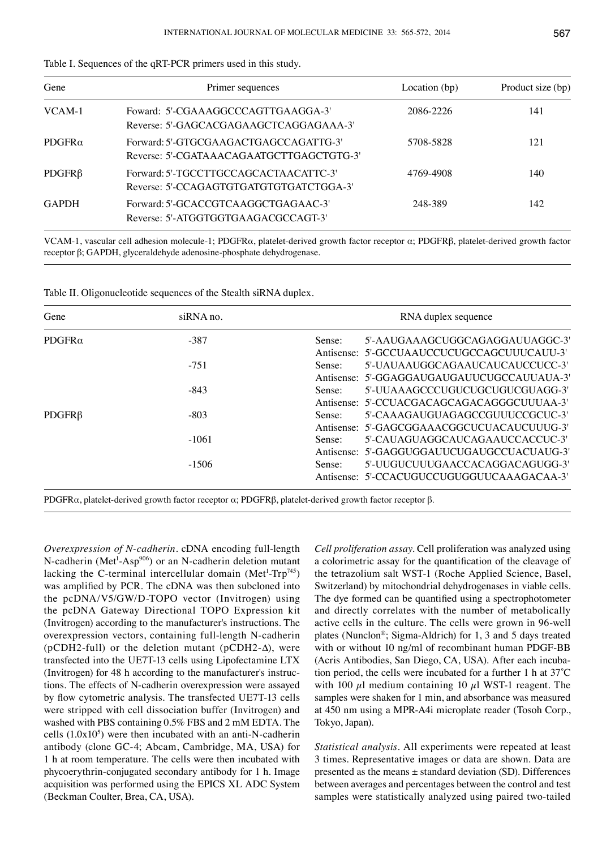| Gene           | Primer sequences                                                                  | Location (bp) | Product size (bp)<br>141 |
|----------------|-----------------------------------------------------------------------------------|---------------|--------------------------|
| VCAM-1         | Foward: 5'-CGAAAGGCCCAGTTGAAGGA-3'<br>Reverse: 5'-GAGCACGAGAAGCTCAGGAGAAA-3'      | 2086-2226     |                          |
| PDGFR $\alpha$ | Forward: 5'-GTGCGAAGACTGAGCCAGATTG-3'<br>Reverse: 5'-CGATAAACAGAATGCTTGAGCTGTG-3' | 5708-5828     | 121                      |
| $PDGFR\beta$   | Forward: 5'-TGCCTTGCCAGCACTAACATTC-3'<br>Reverse: 5'-CCAGAGTGTGATGTGTGATCTGGA-3'  | 4769-4908     | 140                      |
| <b>GAPDH</b>   | Forward: 5'-GCACCGTCAAGGCTGAGAAC-3'<br>Reverse: 5'-ATGGTGGTGAAGACGCCAGT-3'        | 248-389       | 142                      |

| Table I. Sequences of the qRT-PCR primers used in this study. |  |
|---------------------------------------------------------------|--|
|---------------------------------------------------------------|--|

VCAM-1, vascular cell adhesion molecule-1; PDGFRα, platelet-derived growth factor receptor α; PDGFRβ, platelet-derived growth factor receptor β; GAPDH, glyceraldehyde adenosine-phosphate dehydrogenase.

|  | Table II. Oligonucleotide sequences of the Stealth siRNA duplex. |
|--|------------------------------------------------------------------|
|--|------------------------------------------------------------------|

| Gene               | siRNA no.        | RNA duplex sequence                        |
|--------------------|------------------|--------------------------------------------|
| PDGFR $\alpha$     | $-387$<br>Sense: | 5'-AAUGAAAGCUGGCAGAGGAUUAGGC-3'            |
|                    |                  | Antisense: 5'-GCCUAAUCCUCUGCCAGCUUUCAUU-3' |
|                    | $-751$           | 5'-UAUAAUGGCAGAAUCAUCAUCCUCC-3'<br>Sense:  |
|                    |                  | Antisense: 5'-GGAGGAUGAUGAUUCUGCCAUUAUA-3' |
|                    | $-843$           | 5'-UUAAAGCCCUGUCUGCUGUCGUAGG-3'<br>Sense:  |
|                    |                  | Antisense: 5'-CCUACGACAGCAGACAGGGCUUUAA-3' |
| PDGFR <sub>B</sub> | $-803$           | 5'-CAAAGAUGUAGAGCCGUUUCCGCUC-3'<br>Sense:  |
|                    |                  | Antisense: 5'-GAGCGGAAACGGCUCUACAUCUUUG-3' |
|                    | $-1061$          | 5'-CAUAGUAGGCAUCAGAAUCCACCUC-3'<br>Sense:  |
|                    |                  | Antisense: 5'-GAGGUGGAUUCUGAUGCCUACUAUG-3' |
|                    | $-1506$          | 5'-UUGUCUUUGAACCACAGGACAGUGG-3'<br>Sense:  |
|                    |                  | Antisense: 5'-CCACUGUCCUGUGGUUCAAAGACAA-3' |

PDGFRα, platelet-derived growth factor receptor α; PDGFRβ, platelet-derived growth factor receptor β.

*Overexpression of N-cadherin.* cDNA encoding full-length N-cadherin (Met<sup>1</sup>-Asp<sup>906</sup>) or an N-cadherin deletion mutant lacking the C-terminal intercellular domain (Met<sup>1</sup>-Trp<sup>745</sup>) was amplified by PCR. The cDNA was then subcloned into the pcDNA/V5/GW/D-TOPO vector (Invitrogen) using the pcDNA Gateway Directional TOPO Expression kit (Invitrogen) according to the manufacturer's instructions. The overexpression vectors, containing full-length N-cadherin (pCDH2-full) or the deletion mutant (pCDH2-∆), were transfected into the UE7T-13 cells using Lipofectamine LTX (Invitrogen) for 48 h according to the manufacturer's instructions. The effects of N-cadherin overexpression were assayed by flow cytometric analysis. The transfected UE7T-13 cells were stripped with cell dissociation buffer (Invitrogen) and washed with PBS containing 0.5% FBS and 2 mM EDTA. The cells  $(1.0x10<sup>5</sup>)$  were then incubated with an anti-N-cadherin antibody (clone GC-4; Abcam, Cambridge, MA, USA) for 1 h at room temperature. The cells were then incubated with phycoerythrin-conjugated secondary antibody for 1 h. Image acquisition was performed using the EPICS XL ADC System (Beckman Coulter, Brea, CA, USA).

*Cell proliferation assay.* Cell proliferation was analyzed using a colorimetric assay for the quantification of the cleavage of the tetrazolium salt WST-1 (Roche Applied Science, Basel, Switzerland) by mitochondrial dehydrogenases in viable cells. The dye formed can be quantified using a spectrophotometer and directly correlates with the number of metabolically active cells in the culture. The cells were grown in 96-well plates (Nunclon®; Sigma-Aldrich) for 1, 3 and 5 days treated with or without 10 ng/ml of recombinant human PDGF-BB (Acris Antibodies, San Diego, CA, USA). After each incubation period, the cells were incubated for a further 1 h at 37˚C with 100  $\mu$ l medium containing 10  $\mu$ l WST-1 reagent. The samples were shaken for 1 min, and absorbance was measured at 450 nm using a MPR-A4i microplate reader (Tosoh Corp., Tokyo, Japan).

*Statistical analysis.* All experiments were repeated at least 3 times. Representative images or data are shown. Data are presented as the means  $\pm$  standard deviation (SD). Differences between averages and percentages between the control and test samples were statistically analyzed using paired two-tailed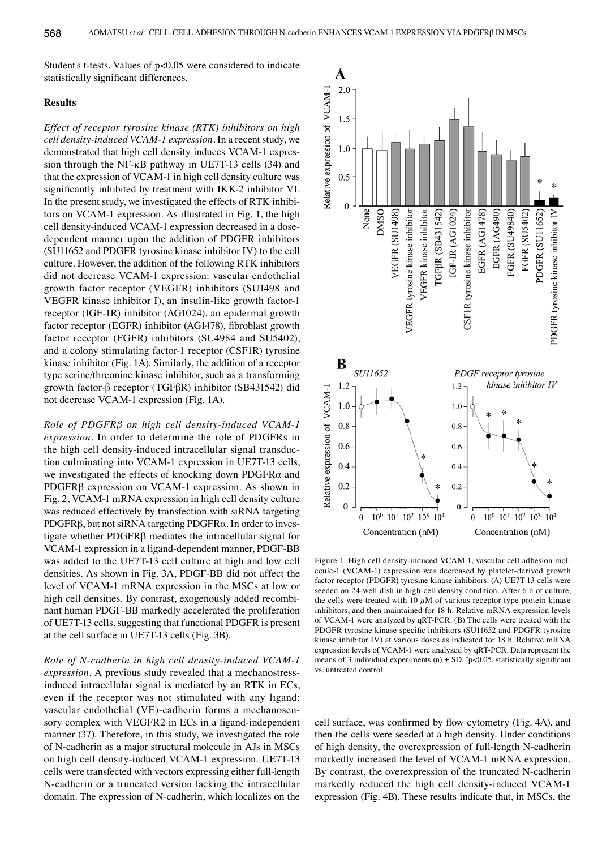Student's t-tests. Values of p<0.05 were considered to indicate statistically significant differences.

# **Results**

*Effect of receptor tyrosine kinase (RTK) inhibitors on high cell density-induced VCAM-1 expression.* In a recent study, we demonstrated that high cell density induces VCAM-1 expression through the NF-κB pathway in UE7T-13 cells (34) and that the expression of VCAM-1 in high cell density culture was significantly inhibited by treatment with IKK-2 inhibitor VI. In the present study, we investigated the effects of RTK inhibitors on VCAM-1 expression. As illustrated in Fig. 1, the high cell density-induced VCAM-1 expression decreased in a dosedependent manner upon the addition of PDGFR inhibitors (SU11652 and PDGFR tyrosine kinase inhibitor IV) to the cell culture. However, the addition of the following RTK inhibitors did not decrease VCAM-1 expression: vascular endothelial growth factor receptor (VEGFR) inhibitors (SU1498 and VEGFR kinase inhibitor I), an insulin-like growth factor-1 receptor (IGF-1R) inhibitor (AG1024), an epidermal growth factor receptor (EGFR) inhibitor (AG1478), fibroblast growth factor receptor (FGFR) inhibitors (SU4984 and SU5402), and a colony stimulating factor-1 receptor (CSF1R) tyrosine kinase inhibitor (Fig. 1A). Similarly, the addition of a receptor type serine/threonine kinase inhibitor, such as a transforming growth factor-β receptor (TGFβR) inhibitor (SB431542) did not decrease VCAM-1 expression (Fig. 1A).

*Role of PDGFRβ on high cell density-induced VCAM-1 expression.* In order to determine the role of PDGFRs in the high cell density-induced intracellular signal transduction culminating into VCAM-1 expression in UE7T-13 cells, we investigated the effects of knocking down PDGFRα and PDGFRβ expression on VCAM-1 expression. As shown in Fig. 2, VCAM-1 mRNA expression in high cell density culture was reduced effectively by transfection with siRNA targeting PDGFRβ, but not siRNA targeting PDGFRα. In order to investigate whether PDGFRβ mediates the intracellular signal for VCAM-1 expression in a ligand-dependent manner, PDGF-BB was added to the UE7T-13 cell culture at high and low cell densities. As shown in Fig. 3A, PDGF-BB did not affect the level of VCAM-1 mRNA expression in the MSCs at low or high cell densities. By contrast, exogenously added recombinant human PDGF-BB markedly accelerated the proliferation of UE7T-13 cells, suggesting that functional PDGFR is present at the cell surface in UE7T-13 cells (Fig. 3B).

*Role of N-cadherin in high cell density-induced VCAM-1 expression.* A previous study revealed that a mechanostressinduced intracellular signal is mediated by an RTK in ECs, even if the receptor was not stimulated with any ligand: vascular endothelial (VE)-cadherin forms a mechanosensory complex with VEGFR2 in ECs in a ligand-independent manner (37). Therefore, in this study, we investigated the role of N-cadherin as a major structural molecule in AJs in MSCs on high cell density-induced VCAM-1 expression. UE7T-13 cells were transfected with vectors expressing either full-length N-cadherin or a truncated version lacking the intracellular domain. The expression of N-cadherin, which localizes on the



Figure 1. High cell density-induced VCAM-1, vascular cell adhesion molecule-1 (VCAM-1) expression was decreased by platelet-derived growth factor receptor (PDGFR) tyrosine kinase inhibitors. (A) UE7T-13 cells were seeded on 24-well dish in high-cell density condition. After 6 h of culture, the cells were treated with 10  $\mu$ M of various receptor type protein kinase inhibitors, and then maintained for 18 h. Relative mRNA expression levels of VCAM-1 were analyzed by qRT-PCR. (B) The cells were treated with the PDGFR tyrosine kinase specific inhibitors (SU11652 and PDGFR tyrosine kinase inhibitor IV) at various doses as indicated for 18 h. Relative mRNA expression levels of VCAM-1 were analyzed by qRT-PCR. Data represent the means of 3 individual experiments (n)  $\pm$  SD.  $\degree$ p<0.05, statistically significant vs. untreated control.

cell surface, was confirmed by flow cytometry (Fig. 4A), and then the cells were seeded at a high density. Under conditions of high density, the overexpression of full-length N-cadherin markedly increased the level of VCAM-1 mRNA expression. By contrast, the overexpression of the truncated N-cadherin markedly reduced the high cell density-induced VCAM-1 expression (Fig. 4B). These results indicate that, in MSCs, the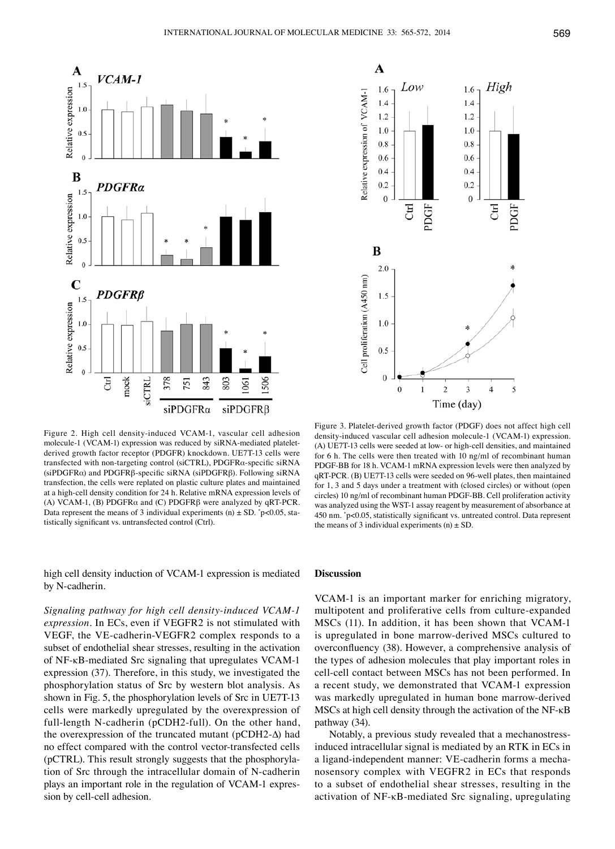

Figure 2. High cell density-induced VCAM-1, vascular cell adhesion molecule-1 (VCAM-1) expression was reduced by siRNA-mediated plateletderived growth factor receptor (PDGFR) knockdown. UE7T-13 cells were transfected with non-targeting control (siCTRL), PDGFRα-specific siRNA (siPDGFRα) and PDGFRβ-specific siRNA (siPDGFRβ). Following siRNA transfection, the cells were replated on plastic culture plates and maintained at a high-cell density condition for 24 h. Relative mRNA expression levels of (A) VCAM-1, (B) PDGFR $\alpha$  and (C) PDGFR $\beta$  were analyzed by qRT-PCR. Data represent the means of 3 individual experiments (n)  $\pm$  SD.  $\degree$ p<0.05, statistically significant vs. untransfected control (Ctrl).

high cell density induction of VCAM-1 expression is mediated by N-cadherin.

*Signaling pathway for high cell density-induced VCAM-1 expression.* In ECs, even if VEGFR2 is not stimulated with VEGF, the VE-cadherin-VEGFR2 complex responds to a subset of endothelial shear stresses, resulting in the activation of NF-κB-mediated Src signaling that upregulates VCAM-1 expression (37). Therefore, in this study, we investigated the phosphorylation status of Src by western blot analysis. As shown in Fig. 5, the phosphorylation levels of Src in UE7T-13 cells were markedly upregulated by the overexpression of full-length N-cadherin (pCDH2-full). On the other hand, the overexpression of the truncated mutant (pCDH2-∆) had no effect compared with the control vector-transfected cells (pCTRL). This result strongly suggests that the phosphorylation of Src through the intracellular domain of N-cadherin plays an important role in the regulation of VCAM-1 expression by cell-cell adhesion.



Figure 3. Platelet-derived growth factor (PDGF) does not affect high cell density-induced vascular cell adhesion molecule-1 (VCAM-1) expression. (A) UE7T-13 cells were seeded at low- or high-cell densities, and maintained for 6 h. The cells were then treated with 10 ng/ml of recombinant human PDGF-BB for 18 h. VCAM-1 mRNA expression levels were then analyzed by qRT-PCR. (B) UE7T-13 cells were seeded on 96-well plates, then maintained for 1, 3 and 5 days under a treatment with (closed circles) or without (open circles) 10 ng/ml of recombinant human PDGF-BB. Cell proliferation activity was analyzed using the WST-1 assay reagent by measurement of absorbance at 450 nm. \* p<0.05, statistically significant vs. untreated control. Data represent the means of 3 individual experiments  $(n) \pm SD$ .

#### **Discussion**

VCAM-1 is an important marker for enriching migratory, multipotent and proliferative cells from culture-expanded MSCs (11). In addition, it has been shown that VCAM-1 is upregulated in bone marrow-derived MSCs cultured to overconfluency (38). However, a comprehensive analysis of the types of adhesion molecules that play important roles in cell-cell contact between MSCs has not been performed. In a recent study, we demonstrated that VCAM-1 expression was markedly upregulated in human bone marrow-derived MSCs at high cell density through the activation of the NF-κB pathway (34).

Notably, a previous study revealed that a mechanostressinduced intracellular signal is mediated by an RTK in ECs in a ligand-independent manner: VE-cadherin forms a mechanosensory complex with VEGFR2 in ECs that responds to a subset of endothelial shear stresses, resulting in the activation of NF-κB-mediated Src signaling, upregulating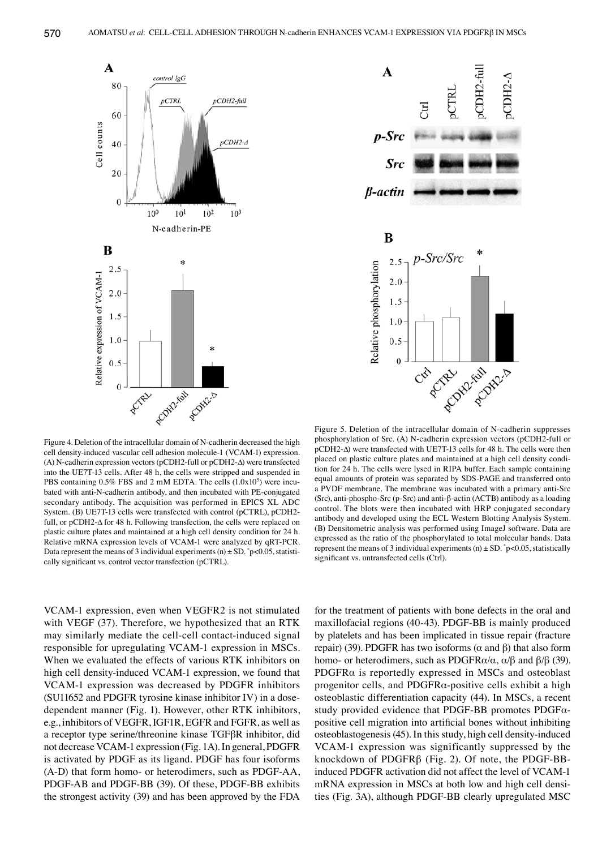



Figure 4. Deletion of the intracellular domain of N-cadherin decreased the high cell density-induced vascular cell adhesion molecule-1 (VCAM-1) expression. (A) N-cadherin expression vectors (pCDH2-full or pCDH2-∆) were transfected into the UE7T-13 cells. After 48 h, the cells were stripped and suspended in PBS containing  $0.5\%$  FBS and 2 mM EDTA. The cells  $(1.0x10<sup>5</sup>)$  were incubated with anti-N-cadherin antibody, and then incubated with PE-conjugated secondary antibody. The acquisition was performed in EPICS XL ADC System. (B) UE7T-13 cells were transfected with control (pCTRL), pCDH2 full, or pCDH2-∆ for 48 h. Following transfection, the cells were replaced on plastic culture plates and maintained at a high cell density condition for 24 h. Relative mRNA expression levels of VCAM-1 were analyzed by qRT-PCR. Data represent the means of 3 individual experiments (n)  $\pm$  SD.  $\degree$  p<0.05, statistically significant vs. control vector transfection (pCTRL).

Figure 5. Deletion of the intracellular domain of N-cadherin suppresses phosphorylation of Src. (A) N-cadherin expression vectors (pCDH2-full or pCDH2-∆) were transfected with UE7T-13 cells for 48 h. The cells were then placed on plastic culture plates and maintained at a high cell density condition for 24 h. The cells were lysed in RIPA buffer. Each sample containing equal amounts of protein was separated by SDS-PAGE and transferred onto a PVDF membrane. The membrane was incubated with a primary anti-Src (Src), anti-phospho-Src (p-Src) and anti-β-actin (ACTB) antibody as a loading control. The blots were then incubated with HRP conjugated secondary antibody and developed using the ECL Western Blotting Analysis System. (B) Densitometric analysis was performed using ImageJ software. Data are expressed as the ratio of the phosphorylated to total molecular bands. Data represent the means of 3 individual experiments (n)  $\pm$  SD. \* p<0.05, statistically significant vs. untransfected cells (Ctrl).

VCAM-1 expression, even when VEGFR2 is not stimulated with VEGF (37). Therefore, we hypothesized that an RTK may similarly mediate the cell-cell contact-induced signal responsible for upregulating VCAM-1 expression in MSCs. When we evaluated the effects of various RTK inhibitors on high cell density-induced VCAM-1 expression, we found that VCAM-1 expression was decreased by PDGFR inhibitors (SU11652 and PDGFR tyrosine kinase inhibitor IV) in a dosedependent manner (Fig. 1). However, other RTK inhibitors, e.g., inhibitors of VEGFR, IGF1R, EGFR and FGFR, as well as a receptor type serine/threonine kinase TGFβR inhibitor, did not decrease VCAM-1 expression (Fig. 1A). In general, PDGFR is activated by PDGF as its ligand. PDGF has four isoforms (A-D) that form homo- or heterodimers, such as PDGF-AA, PDGF-AB and PDGF-BB (39). Of these, PDGF-BB exhibits the strongest activity (39) and has been approved by the FDA

for the treatment of patients with bone defects in the oral and maxillofacial regions (40-43). PDGF-BB is mainly produced by platelets and has been implicated in tissue repair (fracture repair) (39). PDGFR has two isoforms ( $\alpha$  and  $\beta$ ) that also form homo- or heterodimers, such as PDGFR $\alpha/\alpha$ ,  $\alpha/\beta$  and  $\beta/\beta$  (39). PDGFR $\alpha$  is reportedly expressed in MSCs and osteoblast progenitor cells, and PDGFRα-positive cells exhibit a high osteoblastic differentiation capacity (44). In MSCs, a recent study provided evidence that PDGF-BB promotes PDGFαpositive cell migration into artificial bones without inhibiting osteoblastogenesis (45). In this study, high cell density-induced VCAM-1 expression was significantly suppressed by the knockdown of PDGFRβ (Fig. 2). Of note, the PDGF-BBinduced PDGFR activation did not affect the level of VCAM-1 mRNA expression in MSCs at both low and high cell densities (Fig. 3A), although PDGF-BB clearly upregulated MSC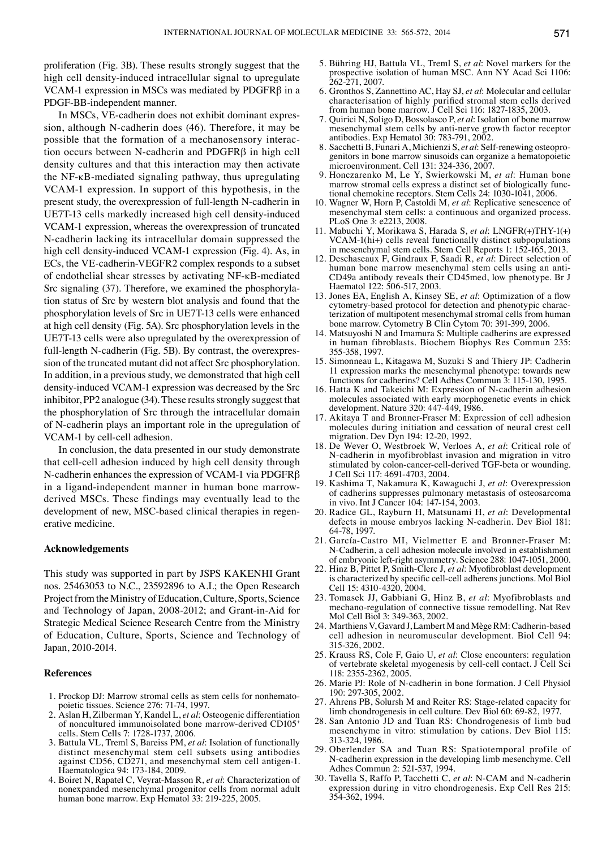proliferation (Fig. 3B). These results strongly suggest that the high cell density-induced intracellular signal to upregulate VCAM-1 expression in MSCs was mediated by PDGFRβ in a PDGF-BB-independent manner.

In MSCs, VE-cadherin does not exhibit dominant expression, although N-cadherin does (46). Therefore, it may be possible that the formation of a mechanosensory interaction occurs between N-cadherin and PDGFRβ in high cell density cultures and that this interaction may then activate the NF-κB-mediated signaling pathway, thus upregulating VCAM-1 expression. In support of this hypothesis, in the present study, the overexpression of full-length N-cadherin in UE7T-13 cells markedly increased high cell density-induced VCAM-1 expression, whereas the overexpression of truncated N-cadherin lacking its intracellular domain suppressed the high cell density-induced VCAM-1 expression (Fig. 4). As, in ECs, the VE-cadherin-VEGFR2 complex responds to a subset of endothelial shear stresses by activating NF-κB-mediated Src signaling (37). Therefore, we examined the phosphorylation status of Src by western blot analysis and found that the phosphorylation levels of Src in UE7T-13 cells were enhanced at high cell density (Fig. 5A). Src phosphorylation levels in the UE7T-13 cells were also upregulated by the overexpression of full-length N-cadherin (Fig. 5B). By contrast, the overexpression of the truncated mutant did not affect Src phosphorylation. In addition, in a previous study, we demonstrated that high cell density-induced VCAM-1 expression was decreased by the Src inhibitor, PP2 analogue (34). These results strongly suggest that the phosphorylation of Src through the intracellular domain of N-cadherin plays an important role in the upregulation of VCAM-1 by cell-cell adhesion.

In conclusion, the data presented in our study demonstrate that cell-cell adhesion induced by high cell density through N-cadherin enhances the expression of VCAM-1 via PDGFRβ in a ligand-independent manner in human bone marrowderived MSCs. These findings may eventually lead to the development of new, MSC-based clinical therapies in regenerative medicine.

## **Acknowledgements**

This study was supported in part by JSPS KAKENHI Grant nos. 25463053 to N.C., 23592896 to A.I.; the Open Research Project from the Ministry of Education, Culture, Sports, Science and Technology of Japan, 2008-2012; and Grant-in-Aid for Strategic Medical Science Research Centre from the Ministry of Education, Culture, Sports, Science and Technology of Japan, 2010-2014.

### **References**

- 1. Prockop DJ: Marrow stromal cells as stem cells for nonhematopoietic tissues. Science 276: 71-74, 1997.
- 2. Aslan H, Zilberman Y, Kandel L, *et al*: Osteogenic differentiation of noncultured immunoisolated bone marrow-derived CD105+ cells. Stem Cells 7: 1728-1737, 2006.
- 3. Battula VL, Treml S, Bareiss PM, *et al*: Isolation of functionally distinct mesenchymal stem cell subsets using antibodies against CD56, CD271, and mesenchymal stem cell antigen-1. Haematologica 94: 173-184, 2009.
- 4. Boiret N, Rapatel C, Veyrat-Masson R, *et al*: Characterization of nonexpanded mesenchymal progenitor cells from normal adult human bone marrow. Exp Hematol 33: 219-225, 2005.
- 5. Bühring HJ, Battula VL, Treml S, *et al*: Novel markers for the prospective isolation of human MSC. Ann NY Acad Sci 1106: 262-271, 2007.
- 6. Gronthos S, Zannettino AC, Hay SJ, *et al*: Molecular and cellular characterisation of highly purified stromal stem cells derived from human bone marrow. J Cell Sci 116: 1827-1835, 2003.
- 7. Quirici N, Soligo D, Bossolasco P, *et al*: Isolation of bone marrow mesenchymal stem cells by anti-nerve growth factor receptor antibodies. Exp Hematol 30: 783-791, 2002.
- 8. Sacchetti B, Funari A, Michienzi S, *et al*: Self-renewing osteoprogenitors in bone marrow sinusoids can organize a hematopoietic microenvironment. Cell 131: 324-336, 2007.
- 9. Honczarenko M, Le Y, Swierkowski M, *et al*: Human bone marrow stromal cells express a distinct set of biologically functional chemokine receptors. Stem Cells 24: 1030-1041, 2006.
- 10. Wagner W, Horn P, Castoldi M, *et al*: Replicative senescence of mesenchymal stem cells: a continuous and organized process. PLoS One 3: e2213, 2008.
- 11. Mabuchi Y, Morikawa S, Harada S, *et al*: LNGFR(+)THY-1(+) VCAM-1(hi+) cells reveal functionally distinct subpopulations in mesenchymal stem cells. Stem Cell Reports 1: 152-165, 2013.
- 12. Deschaseaux F, Gindraux F, Saadi R, *et al*: Direct selection of human bone marrow mesenchymal stem cells using an anti-CD49a antibody reveals their CD45med, low phenotype. Br J Haematol 122: 506-517, 2003.
- 13. Jones EA, English A, Kinsey SE, *et al*: Optimization of a flow cytometry-based protocol for detection and phenotypic characterization of multipotent mesenchymal stromal cells from human bone marrow. Cytometry B Clin Cytom 70: 391-399, 2006.
- 14. Matsuyoshi N and Imamura S: Multiple cadherins are expressed in human fibroblasts. Biochem Biophys Res Commun 235: 355-358, 1997.
- 15. Simonneau L, Kitagawa M, Suzuki S and Thiery JP: Cadherin 11 expression marks the mesenchymal phenotype: towards new functions for cadherins? Cell Adhes Commun 3: 115-130, 1995.
- 16. Hatta K and Takeichi M: Expression of N-cadherin adhesion molecules associated with early morphogenetic events in chick development. Nature 320: 447-449, 1986.
- 17. Akitaya T and Bronner-Fraser M: Expression of cell adhesion molecules during initiation and cessation of neural crest cell migration. Dev Dyn 194: 12-20, 1992.
- 18. De Wever O, Westbroek W, Verloes A, *et al*: Critical role of N-cadherin in myofibroblast invasion and migration in vitro stimulated by colon-cancer-cell-derived TGF-beta or wounding. J Cell Sci 117: 4691-4703, 2004.
- 19. Kashima T, Nakamura K, Kawaguchi J, *et al*: Overexpression of cadherins suppresses pulmonary metastasis of osteosarcoma in vivo. Int J Cancer 104: 147-154, 2003.
- 20. Radice GL, Rayburn H, Matsunami H, *et al*: Developmental defects in mouse embryos lacking N-cadherin. Dev Biol 181: 64-78, 1997.
- 21. García-Castro MI, Vielmetter E and Bronner-Fraser M: N-Cadherin, a cell adhesion molecule involved in establishment of embryonic left-right asymmetry. Science 288: 1047-1051, 2000.
- 22. Hinz B, Pittet P, Smith-Clerc J, *et al*: Myofibroblast development is characterized by specific cell-cell adherens junctions. Mol Biol Cell 15: 4310-4320, 2004.
- 23. Tomasek JJ, Gabbiani G, Hinz B, *et al*: Myofibroblasts and mechano-regulation of connective tissue remodelling. Nat Rev Mol Cell Biol 3: 349-363, 2002.
- 24. Marthiens V, Gavard J, Lambert M and MègeRM: Cadherin-based cell adhesion in neuromuscular development. Biol Cell 94: 315-326, 2002.
- 25. Krauss RS, Cole F, Gaio U, *et al*: Close encounters: regulation of vertebrate skeletal myogenesis by cell-cell contact. J Cell Sci 118: 2355-2362, 2005.
- 26. Marie PJ: Role of N-cadherin in bone formation. J Cell Physiol 190: 297-305, 2002.
- 27. Ahrens PB, Solursh M and Reiter RS: Stage-related capacity for limb chondrogenesis in cell culture. Dev Biol 60: 69-82, 1977.
- 28. San Antonio JD and Tuan RS: Chondrogenesis of limb bud mesenchyme in vitro: stimulation by cations. Dev Biol 115: 313-324, 1986.
- 29. Oberlender SA and Tuan RS: Spatiotemporal profile of N-cadherin expression in the developing limb mesenchyme. Cell Adhes Commun 2: 521-537, 1994.
- 30. Tavella S, Raffo P, Tacchetti C, *et al*: N-CAM and N-cadherin expression during in vitro chondrogenesis. Exp Cell Res 215: 354-362, 1994.